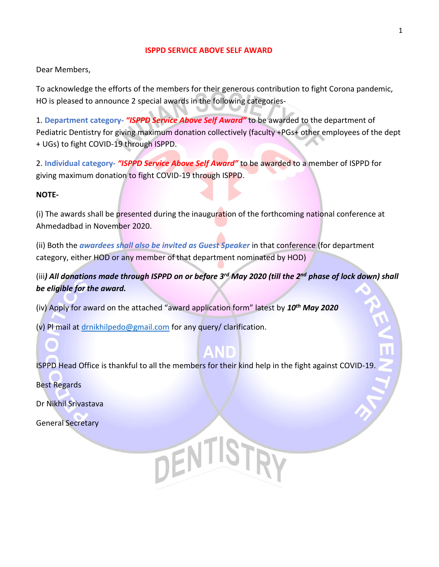## **ISPPD SERVICE ABOVE SELF AWARD**

Dear Members,

To acknowledge the efforts of the members for their generous contribution to fight Corona pandemic, HO is pleased to announce 2 special awards in the following categories-

1. **Department category-** *"ISPPD Service Above Self Award"* to be awarded to the department of Pediatric Dentistry for giving maximum donation collectively (faculty +PGs+ other employees of the dept + UGs) to fight COVID-19 through ISPPD.

2. **Individual category-** *"ISPPD Service Above Self Award"* to be awarded to a member of ISPPD for giving maximum donation to fight COVID-19 through ISPPD.

## **NOTE-**

(i) The awards shall be presented during the inauguration of the forthcoming national conference at Ahmedadbad in November 2020.

(ii) Both the *awardees shall also be invited as Guest Speaker* in that conference (for department category, either HOD or any member of that department nominated by HOD)

(iii*) All donations made through ISPPD on or before 3rd May 2020 (till the 2nd phase of lock down) shall be eligible for the award.*

(iv) Apply for award on the attached "award application form" latest by *10th May 2020*

(v) Pl mail at [drnikhilpedo@gmail.com](mailto:drnikhilpedo@gmail.com) for any query/ clarification.

ISPPD Head Office is thankful to all the members for their kind help in the fight against COVID-19.

DENTISTRY

Best Regards

Dr Nikhil Srivastava

General Secretary